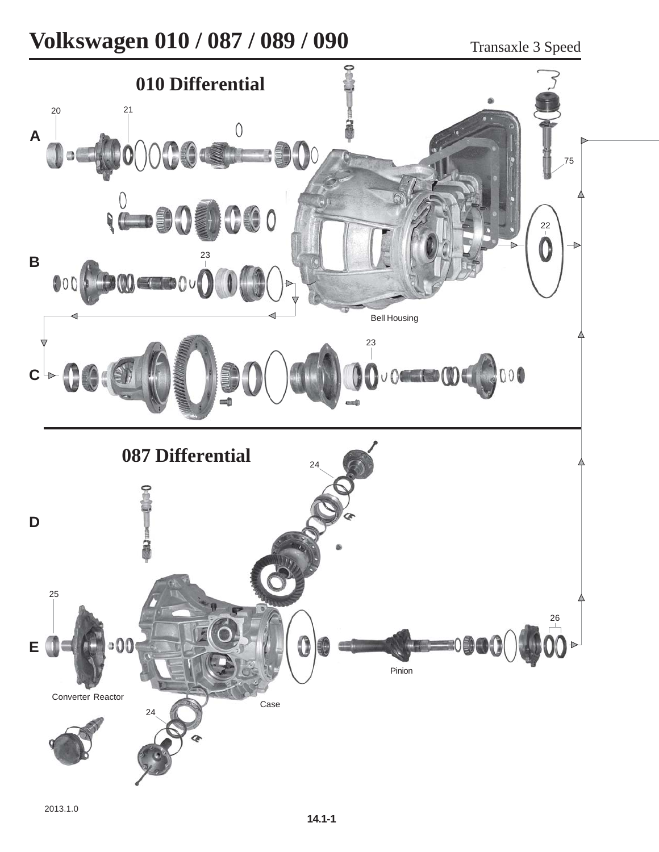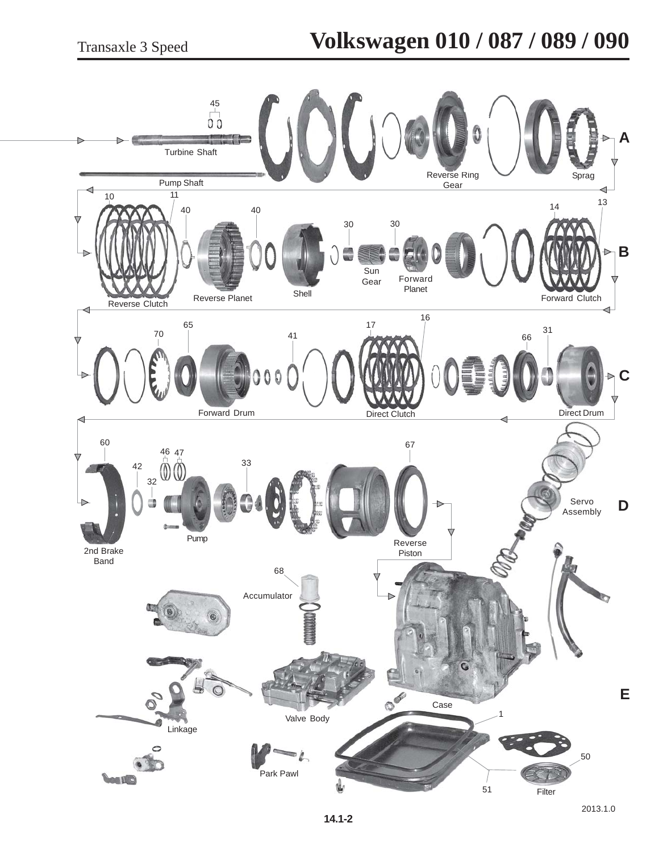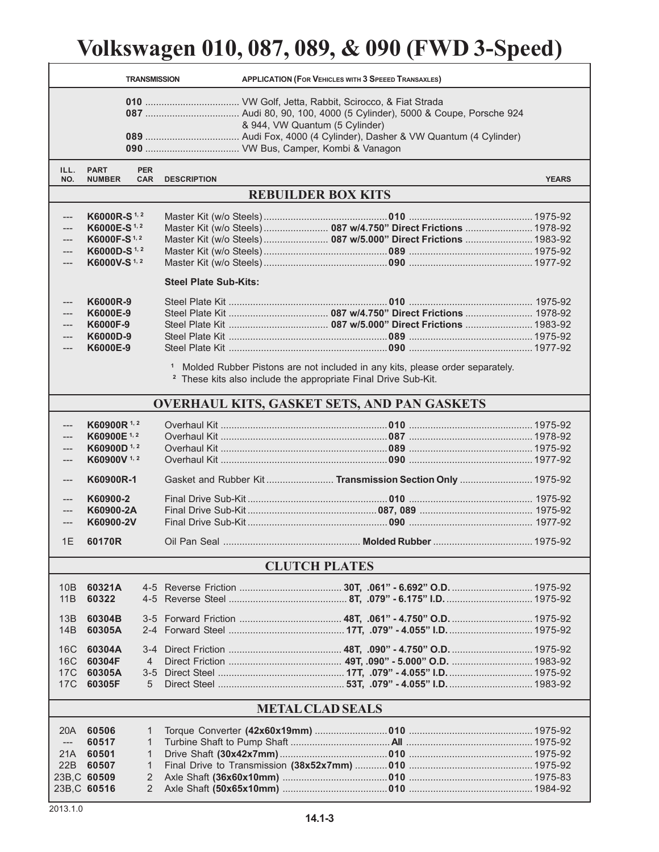## **Volkswagen 010, 087, 089, & 090 (FWD 3-Speed)**

| & 944, VW Quantum (5 Cylinder)<br>ILL.<br><b>PART</b><br><b>PER</b><br>NO.<br><b>CAR</b><br><b>DESCRIPTION</b><br><b>YEARS</b><br><b>NUMBER</b><br><b>REBUILDER BOX KITS</b><br>K6000R-S <sup>1, 2</sup><br>---<br>Master Kit (w/o Steels)  087 w/4.750" Direct Frictions  1978-92<br>K6000E-S <sup>1,2</sup><br>Master Kit (w/o Steels)  087 w/5.000" Direct Frictions  1983-92<br>K6000F-S <sup>1,2</sup><br>K6000D-S <sup>1,2</sup><br>K6000V-S <sup>1,2</sup><br>---<br><b>Steel Plate Sub-Kits:</b><br>K6000R-9<br>---<br>K6000E-9<br>K6000F-9<br>$---$<br>K6000D-9<br>K6000E-9<br>---<br><sup>1</sup> Molded Rubber Pistons are not included in any kits, please order separately.<br><sup>2</sup> These kits also include the appropriate Final Drive Sub-Kit.<br><b>OVERHAUL KITS, GASKET SETS, AND PAN GASKETS</b><br>K60900R <sup>1,2</sup><br>K60900E <sup>1,2</sup><br>K60900D <sup>1,2</sup><br>K60900V <sup>1,2</sup><br>Gasket and Rubber Kit Transmission Section Only  1975-92<br>K60900R-1<br>$---$<br>K60900-2<br>---<br>K60900-2A<br>K60900-2V<br>---<br>1E<br>60170R<br><b>CLUTCH PLATES</b><br>10B<br>60321A<br>60322<br>11B<br>60304B<br>13B<br>60305A<br>14B<br><b>16C</b><br>60304A<br>60304F<br>16C<br>4<br>17C<br>60305A<br>17 <sub>C</sub><br>60305F<br>5<br><b>METAL CLAD SEALS</b><br>20A<br>60506<br>1<br>60517<br>$\mathbf{1}$<br>$\qquad \qquad - -$<br>21A<br>60501<br>$\mathbf{1}$<br>22B<br>60507<br>1<br>23B,C 60509<br>2<br>23B,C 60516<br>$\overline{2}$ | <b>APPLICATION (FOR VEHICLES WITH 3 SPEEED TRANSAXLES)</b><br><b>TRANSMISSION</b> |  |  |  |  |  |  |  |  |  |  |  |
|-------------------------------------------------------------------------------------------------------------------------------------------------------------------------------------------------------------------------------------------------------------------------------------------------------------------------------------------------------------------------------------------------------------------------------------------------------------------------------------------------------------------------------------------------------------------------------------------------------------------------------------------------------------------------------------------------------------------------------------------------------------------------------------------------------------------------------------------------------------------------------------------------------------------------------------------------------------------------------------------------------------------------------------------------------------------------------------------------------------------------------------------------------------------------------------------------------------------------------------------------------------------------------------------------------------------------------------------------------------------------------------------------------------------------------------------------------------------------------------------------|-----------------------------------------------------------------------------------|--|--|--|--|--|--|--|--|--|--|--|
|                                                                                                                                                                                                                                                                                                                                                                                                                                                                                                                                                                                                                                                                                                                                                                                                                                                                                                                                                                                                                                                                                                                                                                                                                                                                                                                                                                                                                                                                                                 |                                                                                   |  |  |  |  |  |  |  |  |  |  |  |
|                                                                                                                                                                                                                                                                                                                                                                                                                                                                                                                                                                                                                                                                                                                                                                                                                                                                                                                                                                                                                                                                                                                                                                                                                                                                                                                                                                                                                                                                                                 |                                                                                   |  |  |  |  |  |  |  |  |  |  |  |
|                                                                                                                                                                                                                                                                                                                                                                                                                                                                                                                                                                                                                                                                                                                                                                                                                                                                                                                                                                                                                                                                                                                                                                                                                                                                                                                                                                                                                                                                                                 |                                                                                   |  |  |  |  |  |  |  |  |  |  |  |
|                                                                                                                                                                                                                                                                                                                                                                                                                                                                                                                                                                                                                                                                                                                                                                                                                                                                                                                                                                                                                                                                                                                                                                                                                                                                                                                                                                                                                                                                                                 |                                                                                   |  |  |  |  |  |  |  |  |  |  |  |
|                                                                                                                                                                                                                                                                                                                                                                                                                                                                                                                                                                                                                                                                                                                                                                                                                                                                                                                                                                                                                                                                                                                                                                                                                                                                                                                                                                                                                                                                                                 |                                                                                   |  |  |  |  |  |  |  |  |  |  |  |
|                                                                                                                                                                                                                                                                                                                                                                                                                                                                                                                                                                                                                                                                                                                                                                                                                                                                                                                                                                                                                                                                                                                                                                                                                                                                                                                                                                                                                                                                                                 |                                                                                   |  |  |  |  |  |  |  |  |  |  |  |
|                                                                                                                                                                                                                                                                                                                                                                                                                                                                                                                                                                                                                                                                                                                                                                                                                                                                                                                                                                                                                                                                                                                                                                                                                                                                                                                                                                                                                                                                                                 |                                                                                   |  |  |  |  |  |  |  |  |  |  |  |
|                                                                                                                                                                                                                                                                                                                                                                                                                                                                                                                                                                                                                                                                                                                                                                                                                                                                                                                                                                                                                                                                                                                                                                                                                                                                                                                                                                                                                                                                                                 |                                                                                   |  |  |  |  |  |  |  |  |  |  |  |
|                                                                                                                                                                                                                                                                                                                                                                                                                                                                                                                                                                                                                                                                                                                                                                                                                                                                                                                                                                                                                                                                                                                                                                                                                                                                                                                                                                                                                                                                                                 |                                                                                   |  |  |  |  |  |  |  |  |  |  |  |
|                                                                                                                                                                                                                                                                                                                                                                                                                                                                                                                                                                                                                                                                                                                                                                                                                                                                                                                                                                                                                                                                                                                                                                                                                                                                                                                                                                                                                                                                                                 |                                                                                   |  |  |  |  |  |  |  |  |  |  |  |
|                                                                                                                                                                                                                                                                                                                                                                                                                                                                                                                                                                                                                                                                                                                                                                                                                                                                                                                                                                                                                                                                                                                                                                                                                                                                                                                                                                                                                                                                                                 |                                                                                   |  |  |  |  |  |  |  |  |  |  |  |
|                                                                                                                                                                                                                                                                                                                                                                                                                                                                                                                                                                                                                                                                                                                                                                                                                                                                                                                                                                                                                                                                                                                                                                                                                                                                                                                                                                                                                                                                                                 |                                                                                   |  |  |  |  |  |  |  |  |  |  |  |
|                                                                                                                                                                                                                                                                                                                                                                                                                                                                                                                                                                                                                                                                                                                                                                                                                                                                                                                                                                                                                                                                                                                                                                                                                                                                                                                                                                                                                                                                                                 |                                                                                   |  |  |  |  |  |  |  |  |  |  |  |
|                                                                                                                                                                                                                                                                                                                                                                                                                                                                                                                                                                                                                                                                                                                                                                                                                                                                                                                                                                                                                                                                                                                                                                                                                                                                                                                                                                                                                                                                                                 |                                                                                   |  |  |  |  |  |  |  |  |  |  |  |
|                                                                                                                                                                                                                                                                                                                                                                                                                                                                                                                                                                                                                                                                                                                                                                                                                                                                                                                                                                                                                                                                                                                                                                                                                                                                                                                                                                                                                                                                                                 |                                                                                   |  |  |  |  |  |  |  |  |  |  |  |
|                                                                                                                                                                                                                                                                                                                                                                                                                                                                                                                                                                                                                                                                                                                                                                                                                                                                                                                                                                                                                                                                                                                                                                                                                                                                                                                                                                                                                                                                                                 |                                                                                   |  |  |  |  |  |  |  |  |  |  |  |
|                                                                                                                                                                                                                                                                                                                                                                                                                                                                                                                                                                                                                                                                                                                                                                                                                                                                                                                                                                                                                                                                                                                                                                                                                                                                                                                                                                                                                                                                                                 |                                                                                   |  |  |  |  |  |  |  |  |  |  |  |
|                                                                                                                                                                                                                                                                                                                                                                                                                                                                                                                                                                                                                                                                                                                                                                                                                                                                                                                                                                                                                                                                                                                                                                                                                                                                                                                                                                                                                                                                                                 |                                                                                   |  |  |  |  |  |  |  |  |  |  |  |
|                                                                                                                                                                                                                                                                                                                                                                                                                                                                                                                                                                                                                                                                                                                                                                                                                                                                                                                                                                                                                                                                                                                                                                                                                                                                                                                                                                                                                                                                                                 |                                                                                   |  |  |  |  |  |  |  |  |  |  |  |
|                                                                                                                                                                                                                                                                                                                                                                                                                                                                                                                                                                                                                                                                                                                                                                                                                                                                                                                                                                                                                                                                                                                                                                                                                                                                                                                                                                                                                                                                                                 |                                                                                   |  |  |  |  |  |  |  |  |  |  |  |
|                                                                                                                                                                                                                                                                                                                                                                                                                                                                                                                                                                                                                                                                                                                                                                                                                                                                                                                                                                                                                                                                                                                                                                                                                                                                                                                                                                                                                                                                                                 |                                                                                   |  |  |  |  |  |  |  |  |  |  |  |
|                                                                                                                                                                                                                                                                                                                                                                                                                                                                                                                                                                                                                                                                                                                                                                                                                                                                                                                                                                                                                                                                                                                                                                                                                                                                                                                                                                                                                                                                                                 |                                                                                   |  |  |  |  |  |  |  |  |  |  |  |
|                                                                                                                                                                                                                                                                                                                                                                                                                                                                                                                                                                                                                                                                                                                                                                                                                                                                                                                                                                                                                                                                                                                                                                                                                                                                                                                                                                                                                                                                                                 |                                                                                   |  |  |  |  |  |  |  |  |  |  |  |
|                                                                                                                                                                                                                                                                                                                                                                                                                                                                                                                                                                                                                                                                                                                                                                                                                                                                                                                                                                                                                                                                                                                                                                                                                                                                                                                                                                                                                                                                                                 |                                                                                   |  |  |  |  |  |  |  |  |  |  |  |
|                                                                                                                                                                                                                                                                                                                                                                                                                                                                                                                                                                                                                                                                                                                                                                                                                                                                                                                                                                                                                                                                                                                                                                                                                                                                                                                                                                                                                                                                                                 |                                                                                   |  |  |  |  |  |  |  |  |  |  |  |
|                                                                                                                                                                                                                                                                                                                                                                                                                                                                                                                                                                                                                                                                                                                                                                                                                                                                                                                                                                                                                                                                                                                                                                                                                                                                                                                                                                                                                                                                                                 |                                                                                   |  |  |  |  |  |  |  |  |  |  |  |
|                                                                                                                                                                                                                                                                                                                                                                                                                                                                                                                                                                                                                                                                                                                                                                                                                                                                                                                                                                                                                                                                                                                                                                                                                                                                                                                                                                                                                                                                                                 |                                                                                   |  |  |  |  |  |  |  |  |  |  |  |
|                                                                                                                                                                                                                                                                                                                                                                                                                                                                                                                                                                                                                                                                                                                                                                                                                                                                                                                                                                                                                                                                                                                                                                                                                                                                                                                                                                                                                                                                                                 |                                                                                   |  |  |  |  |  |  |  |  |  |  |  |
|                                                                                                                                                                                                                                                                                                                                                                                                                                                                                                                                                                                                                                                                                                                                                                                                                                                                                                                                                                                                                                                                                                                                                                                                                                                                                                                                                                                                                                                                                                 |                                                                                   |  |  |  |  |  |  |  |  |  |  |  |
|                                                                                                                                                                                                                                                                                                                                                                                                                                                                                                                                                                                                                                                                                                                                                                                                                                                                                                                                                                                                                                                                                                                                                                                                                                                                                                                                                                                                                                                                                                 |                                                                                   |  |  |  |  |  |  |  |  |  |  |  |
|                                                                                                                                                                                                                                                                                                                                                                                                                                                                                                                                                                                                                                                                                                                                                                                                                                                                                                                                                                                                                                                                                                                                                                                                                                                                                                                                                                                                                                                                                                 |                                                                                   |  |  |  |  |  |  |  |  |  |  |  |
|                                                                                                                                                                                                                                                                                                                                                                                                                                                                                                                                                                                                                                                                                                                                                                                                                                                                                                                                                                                                                                                                                                                                                                                                                                                                                                                                                                                                                                                                                                 |                                                                                   |  |  |  |  |  |  |  |  |  |  |  |
|                                                                                                                                                                                                                                                                                                                                                                                                                                                                                                                                                                                                                                                                                                                                                                                                                                                                                                                                                                                                                                                                                                                                                                                                                                                                                                                                                                                                                                                                                                 |                                                                                   |  |  |  |  |  |  |  |  |  |  |  |
|                                                                                                                                                                                                                                                                                                                                                                                                                                                                                                                                                                                                                                                                                                                                                                                                                                                                                                                                                                                                                                                                                                                                                                                                                                                                                                                                                                                                                                                                                                 |                                                                                   |  |  |  |  |  |  |  |  |  |  |  |
|                                                                                                                                                                                                                                                                                                                                                                                                                                                                                                                                                                                                                                                                                                                                                                                                                                                                                                                                                                                                                                                                                                                                                                                                                                                                                                                                                                                                                                                                                                 |                                                                                   |  |  |  |  |  |  |  |  |  |  |  |
|                                                                                                                                                                                                                                                                                                                                                                                                                                                                                                                                                                                                                                                                                                                                                                                                                                                                                                                                                                                                                                                                                                                                                                                                                                                                                                                                                                                                                                                                                                 |                                                                                   |  |  |  |  |  |  |  |  |  |  |  |
|                                                                                                                                                                                                                                                                                                                                                                                                                                                                                                                                                                                                                                                                                                                                                                                                                                                                                                                                                                                                                                                                                                                                                                                                                                                                                                                                                                                                                                                                                                 |                                                                                   |  |  |  |  |  |  |  |  |  |  |  |
|                                                                                                                                                                                                                                                                                                                                                                                                                                                                                                                                                                                                                                                                                                                                                                                                                                                                                                                                                                                                                                                                                                                                                                                                                                                                                                                                                                                                                                                                                                 |                                                                                   |  |  |  |  |  |  |  |  |  |  |  |
|                                                                                                                                                                                                                                                                                                                                                                                                                                                                                                                                                                                                                                                                                                                                                                                                                                                                                                                                                                                                                                                                                                                                                                                                                                                                                                                                                                                                                                                                                                 |                                                                                   |  |  |  |  |  |  |  |  |  |  |  |
|                                                                                                                                                                                                                                                                                                                                                                                                                                                                                                                                                                                                                                                                                                                                                                                                                                                                                                                                                                                                                                                                                                                                                                                                                                                                                                                                                                                                                                                                                                 |                                                                                   |  |  |  |  |  |  |  |  |  |  |  |
|                                                                                                                                                                                                                                                                                                                                                                                                                                                                                                                                                                                                                                                                                                                                                                                                                                                                                                                                                                                                                                                                                                                                                                                                                                                                                                                                                                                                                                                                                                 |                                                                                   |  |  |  |  |  |  |  |  |  |  |  |
|                                                                                                                                                                                                                                                                                                                                                                                                                                                                                                                                                                                                                                                                                                                                                                                                                                                                                                                                                                                                                                                                                                                                                                                                                                                                                                                                                                                                                                                                                                 |                                                                                   |  |  |  |  |  |  |  |  |  |  |  |